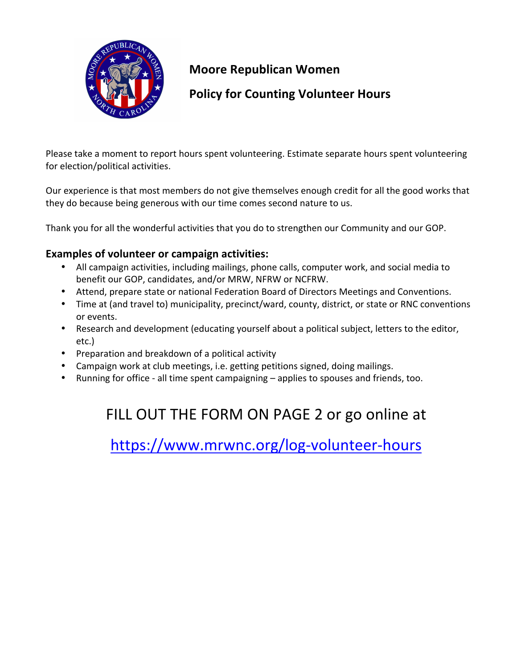

### **Moore Republican Women**

### **Policy for Counting Volunteer Hours**

Please take a moment to report hours spent volunteering. Estimate separate hours spent volunteering for election/political activities.

Our experience is that most members do not give themselves enough credit for all the good works that they do because being generous with our time comes second nature to us.

Thank you for all the wonderful activities that you do to strengthen our Community and our GOP.

#### **Examples of volunteer or campaign activities:**

- All campaign activities, including mailings, phone calls, computer work, and social media to benefit our GOP, candidates, and/or MRW, NFRW or NCFRW.
- Attend, prepare state or national Federation Board of Directors Meetings and Conventions.
- Time at (and travel to) municipality, precinct/ward, county, district, or state or RNC conventions or events.
- Research and development (educating yourself about a political subject, letters to the editor, etc.)
- Preparation and breakdown of a political activity
- Campaign work at club meetings, i.e. getting petitions signed, doing mailings.
- Running for office all time spent campaigning applies to spouses and friends, too.

# FILL OUT THE FORM ON PAGE 2 or go online at

https://www.mrwnc.org/log-volunteer-hours